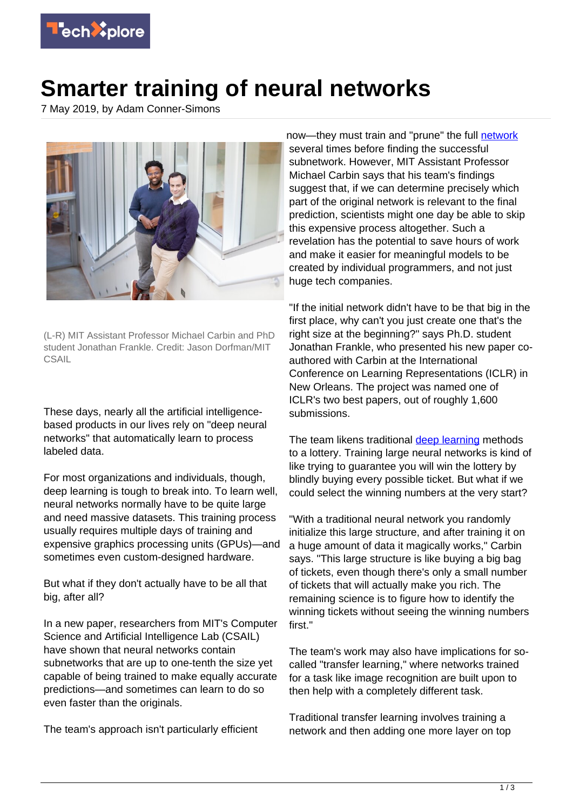

## **Smarter training of neural networks**

7 May 2019, by Adam Conner-Simons



(L-R) MIT Assistant Professor Michael Carbin and PhD student Jonathan Frankle. Credit: Jason Dorfman/MIT **CSAIL** 

These days, nearly all the artificial intelligencebased products in our lives rely on "deep neural networks" that automatically learn to process labeled data.

For most organizations and individuals, though, deep learning is tough to break into. To learn well, neural networks normally have to be quite large and need massive datasets. This training process usually requires multiple days of training and expensive graphics processing units (GPUs)—and sometimes even custom-designed hardware.

But what if they don't actually have to be all that big, after all?

In a new paper, researchers from MIT's Computer Science and Artificial Intelligence Lab (CSAIL) have shown that neural networks contain subnetworks that are up to one-tenth the size yet capable of being trained to make equally accurate predictions—and sometimes can learn to do so even faster than the originals.

The team's approach isn't particularly efficient

now-they must train and "prune" the full [network](https://techxplore.com/tags/network/) several times before finding the successful subnetwork. However, MIT Assistant Professor Michael Carbin says that his team's findings suggest that, if we can determine precisely which part of the original network is relevant to the final prediction, scientists might one day be able to skip this expensive process altogether. Such a revelation has the potential to save hours of work and make it easier for meaningful models to be created by individual programmers, and not just huge tech companies.

"If the initial network didn't have to be that big in the first place, why can't you just create one that's the right size at the beginning?" says Ph.D. student Jonathan Frankle, who presented his new paper coauthored with Carbin at the International Conference on Learning Representations (ICLR) in New Orleans. The project was named one of ICLR's two best papers, out of roughly 1,600 submissions.

The team likens traditional [deep learning](https://techxplore.com/tags/deep+learning/) methods to a lottery. Training large neural networks is kind of like trying to guarantee you will win the lottery by blindly buying every possible ticket. But what if we could select the winning numbers at the very start?

"With a traditional neural network you randomly initialize this large structure, and after training it on a huge amount of data it magically works," Carbin says. "This large structure is like buying a big bag of tickets, even though there's only a small number of tickets that will actually make you rich. The remaining science is to figure how to identify the winning tickets without seeing the winning numbers first."

The team's work may also have implications for socalled "transfer learning," where networks trained for a task like image recognition are built upon to then help with a completely different task.

Traditional transfer learning involves training a network and then adding one more layer on top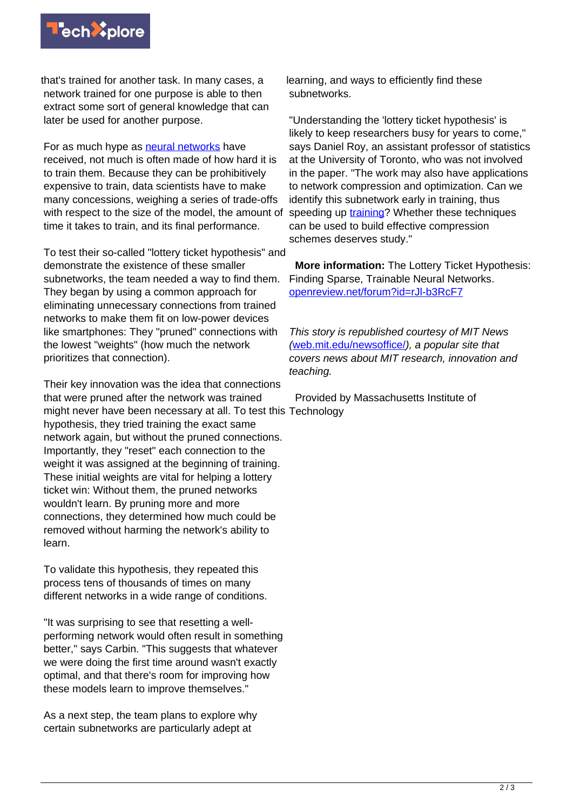

that's trained for another task. In many cases, a network trained for one purpose is able to then extract some sort of general knowledge that can later be used for another purpose.

For as much hype as [neural networks](https://techxplore.com/tags/neural+networks/) have received, not much is often made of how hard it is to train them. Because they can be prohibitively expensive to train, data scientists have to make many concessions, weighing a series of trade-offs with respect to the size of the model, the amount of time it takes to train, and its final performance.

To test their so-called "lottery ticket hypothesis" and demonstrate the existence of these smaller subnetworks, the team needed a way to find them. They began by using a common approach for eliminating unnecessary connections from trained networks to make them fit on low-power devices like smartphones: They "pruned" connections with the lowest "weights" (how much the network prioritizes that connection).

Their key innovation was the idea that connections that were pruned after the network was trained might never have been necessary at all. To test this Technology hypothesis, they tried training the exact same network again, but without the pruned connections. Importantly, they "reset" each connection to the weight it was assigned at the beginning of training. These initial weights are vital for helping a lottery ticket win: Without them, the pruned networks wouldn't learn. By pruning more and more connections, they determined how much could be removed without harming the network's ability to learn.

To validate this hypothesis, they repeated this process tens of thousands of times on many different networks in a wide range of conditions.

"It was surprising to see that resetting a wellperforming network would often result in something better," says Carbin. "This suggests that whatever we were doing the first time around wasn't exactly optimal, and that there's room for improving how these models learn to improve themselves."

As a next step, the team plans to explore why certain subnetworks are particularly adept at

learning, and ways to efficiently find these subnetworks.

"Understanding the 'lottery ticket hypothesis' is likely to keep researchers busy for years to come." says Daniel Roy, an assistant professor of statistics at the University of Toronto, who was not involved in the paper. "The work may also have applications to network compression and optimization. Can we identify this subnetwork early in training, thus speeding up [training?](https://techxplore.com/tags/training/) Whether these techniques can be used to build effective compression schemes deserves study."

 **More information:** The Lottery Ticket Hypothesis: Finding Sparse, Trainable Neural Networks. [openreview.net/forum?id=rJl-b3RcF7](https://openreview.net/forum?id=rJl-b3RcF7)

This story is republished courtesy of MIT News ([web.mit.edu/newsoffice/](http://web.mit.edu/newsoffice/)), a popular site that covers news about MIT research, innovation and teaching.

Provided by Massachusetts Institute of